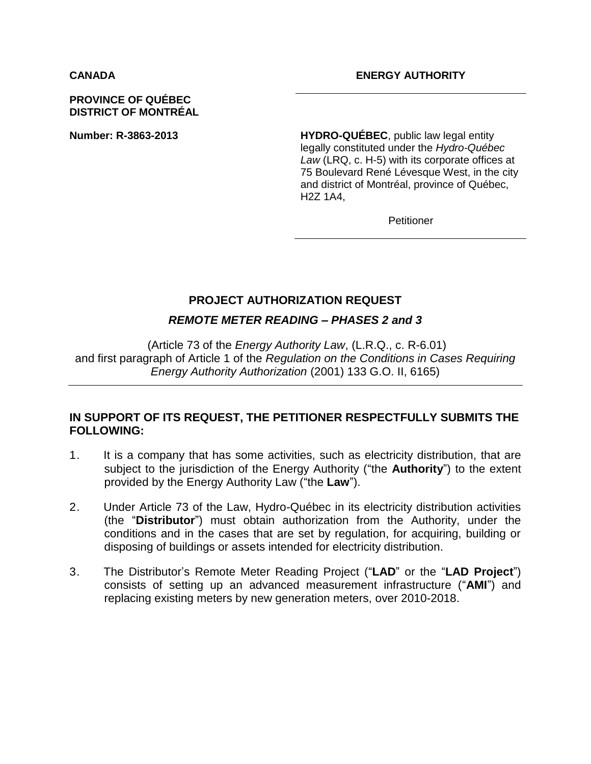#### **PROVINCE OF QUÉBEC DISTRICT OF MONTRÉAL**

**Number: R-3863-2013 HYDRO-QUÉBEC**, public law legal entity legally constituted under the *Hydro-Québec Law* (LRQ, c. H-5) with its corporate offices at 75 Boulevard René Lévesque West, in the city and district of Montréal, province of Québec, H2Z 1A4,

**Petitioner** 

## **PROJECT AUTHORIZATION REQUEST**

## *REMOTE METER READING – PHASES 2 and 3*

(Article 73 of the *Energy Authority Law*, (L.R.Q., c. R-6.01) and first paragraph of Article 1 of the *Regulation on the Conditions in Cases Requiring Energy Authority Authorization* (2001) 133 G.O. II, 6165)

# **IN SUPPORT OF ITS REQUEST, THE PETITIONER RESPECTFULLY SUBMITS THE FOLLOWING:**

- 1. It is a company that has some activities, such as electricity distribution, that are subject to the jurisdiction of the Energy Authority ("the **Authority**") to the extent provided by the Energy Authority Law ("the **Law**").
- 2. Under Article 73 of the Law, Hydro-Québec in its electricity distribution activities (the "**Distributor**") must obtain authorization from the Authority, under the conditions and in the cases that are set by regulation, for acquiring, building or disposing of buildings or assets intended for electricity distribution.
- 3. The Distributor's Remote Meter Reading Project ("**LAD**" or the "**LAD Project**") consists of setting up an advanced measurement infrastructure ("**AMI**") and replacing existing meters by new generation meters, over 2010-2018.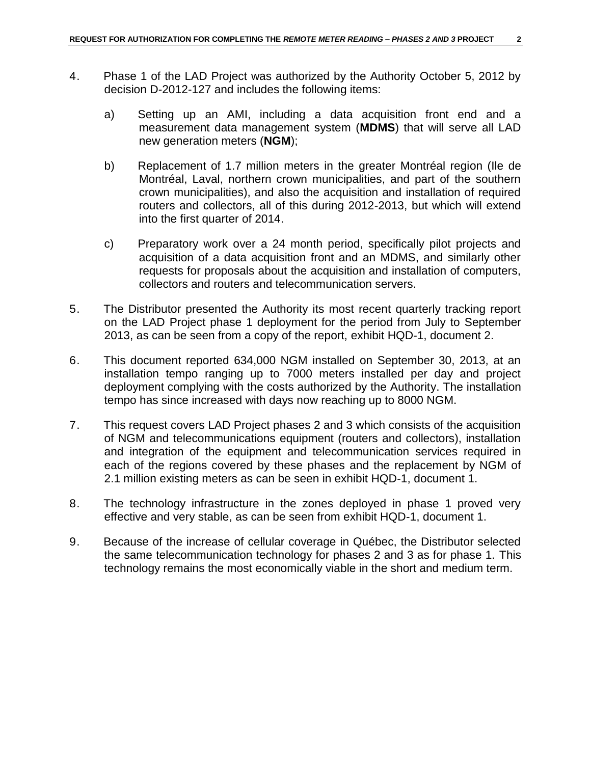- 4. Phase 1 of the LAD Project was authorized by the Authority October 5, 2012 by decision D-2012-127 and includes the following items:
	- a) Setting up an AMI, including a data acquisition front end and a measurement data management system (**MDMS**) that will serve all LAD new generation meters (**NGM**);
	- b) Replacement of 1.7 million meters in the greater Montréal region (Ile de Montréal, Laval, northern crown municipalities, and part of the southern crown municipalities), and also the acquisition and installation of required routers and collectors, all of this during 2012-2013, but which will extend into the first quarter of 2014.
	- c) Preparatory work over a 24 month period, specifically pilot projects and acquisition of a data acquisition front and an MDMS, and similarly other requests for proposals about the acquisition and installation of computers, collectors and routers and telecommunication servers.
- 5. The Distributor presented the Authority its most recent quarterly tracking report on the LAD Project phase 1 deployment for the period from July to September 2013, as can be seen from a copy of the report, exhibit HQD-1, document 2.
- 6. This document reported 634,000 NGM installed on September 30, 2013, at an installation tempo ranging up to 7000 meters installed per day and project deployment complying with the costs authorized by the Authority. The installation tempo has since increased with days now reaching up to 8000 NGM.
- 7. This request covers LAD Project phases 2 and 3 which consists of the acquisition of NGM and telecommunications equipment (routers and collectors), installation and integration of the equipment and telecommunication services required in each of the regions covered by these phases and the replacement by NGM of 2.1 million existing meters as can be seen in exhibit HQD-1, document 1.
- 8. The technology infrastructure in the zones deployed in phase 1 proved very effective and very stable, as can be seen from exhibit HQD-1, document 1.
- 9. Because of the increase of cellular coverage in Québec, the Distributor selected the same telecommunication technology for phases 2 and 3 as for phase 1. This technology remains the most economically viable in the short and medium term.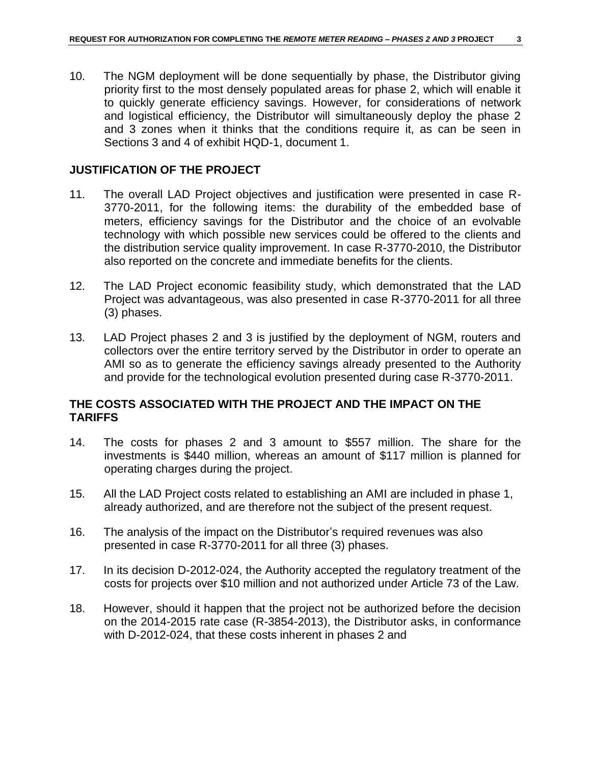10. The NGM deployment will be done sequentially by phase, the Distributor giving priority first to the most densely populated areas for phase 2, which will enable it to quickly generate efficiency savings. However, for considerations of network and logistical efficiency, the Distributor will simultaneously deploy the phase 2 and 3 zones when it thinks that the conditions require it, as can be seen in Sections 3 and 4 of exhibit HQD-1, document 1.

#### **JUSTIFICATION OF THE PROJECT**

- 11. The overall LAD Project objectives and justification were presented in case R-3770-2011, for the following items: the durability of the embedded base of meters, efficiency savings for the Distributor and the choice of an evolvable technology with which possible new services could be offered to the clients and the distribution service quality improvement. In case R-3770-2010, the Distributor also reported on the concrete and immediate benefits for the clients.
- 12. The LAD Project economic feasibility study, which demonstrated that the LAD Project was advantageous, was also presented in case R-3770-2011 for all three (3) phases.
- 13. LAD Project phases 2 and 3 is justified by the deployment of NGM, routers and collectors over the entire territory served by the Distributor in order to operate an AMI so as to generate the efficiency savings already presented to the Authority and provide for the technological evolution presented during case R-3770-2011.

# **THE COSTS ASSOCIATED WITH THE PROJECT AND THE IMPACT ON THE TARIFFS**

- 14. The costs for phases 2 and 3 amount to \$557 million. The share for the investments is \$440 million, whereas an amount of \$117 million is planned for operating charges during the project.
- 15. All the LAD Project costs related to establishing an AMI are included in phase 1, already authorized, and are therefore not the subject of the present request.
- 16. The analysis of the impact on the Distributor's required revenues was also presented in case R-3770-2011 for all three (3) phases.
- 17. In its decision D-2012-024, the Authority accepted the regulatory treatment of the costs for projects over \$10 million and not authorized under Article 73 of the Law.
- 18. However, should it happen that the project not be authorized before the decision on the 2014-2015 rate case (R-3854-2013), the Distributor asks, in conformance with D-2012-024, that these costs inherent in phases 2 and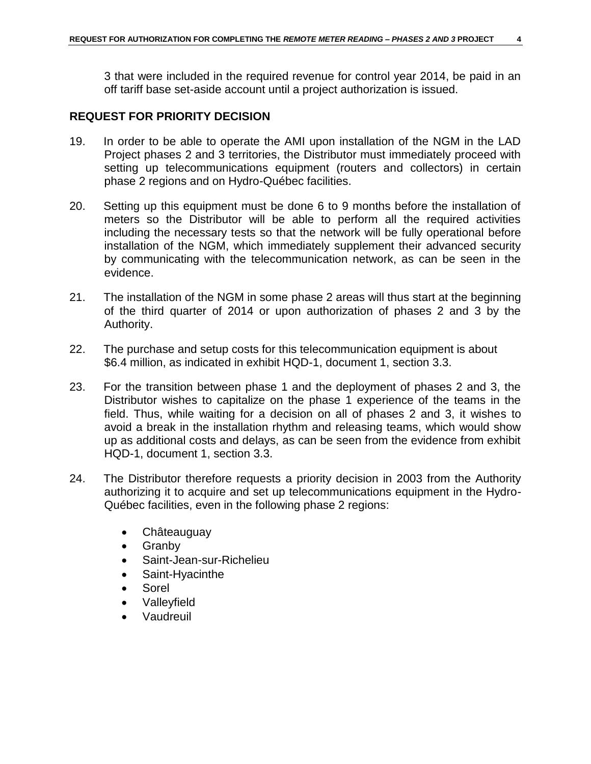3 that were included in the required revenue for control year 2014, be paid in an off tariff base set-aside account until a project authorization is issued.

#### **REQUEST FOR PRIORITY DECISION**

- 19. In order to be able to operate the AMI upon installation of the NGM in the LAD Project phases 2 and 3 territories, the Distributor must immediately proceed with setting up telecommunications equipment (routers and collectors) in certain phase 2 regions and on Hydro-Québec facilities.
- 20. Setting up this equipment must be done 6 to 9 months before the installation of meters so the Distributor will be able to perform all the required activities including the necessary tests so that the network will be fully operational before installation of the NGM, which immediately supplement their advanced security by communicating with the telecommunication network, as can be seen in the evidence.
- 21. The installation of the NGM in some phase 2 areas will thus start at the beginning of the third quarter of 2014 or upon authorization of phases 2 and 3 by the Authority.
- 22. The purchase and setup costs for this telecommunication equipment is about \$6.4 million, as indicated in exhibit HQD-1, document 1, section 3.3.
- 23. For the transition between phase 1 and the deployment of phases 2 and 3, the Distributor wishes to capitalize on the phase 1 experience of the teams in the field. Thus, while waiting for a decision on all of phases 2 and 3, it wishes to avoid a break in the installation rhythm and releasing teams, which would show up as additional costs and delays, as can be seen from the evidence from exhibit HQD-1, document 1, section 3.3.
- 24. The Distributor therefore requests a priority decision in 2003 from the Authority authorizing it to acquire and set up telecommunications equipment in the Hydro-Québec facilities, even in the following phase 2 regions:
	- Châteauguay
	- Granby
	- Saint-Jean-sur-Richelieu
	- Saint-Hyacinthe
	- Sorel
	- Valleyfield
	- Vaudreuil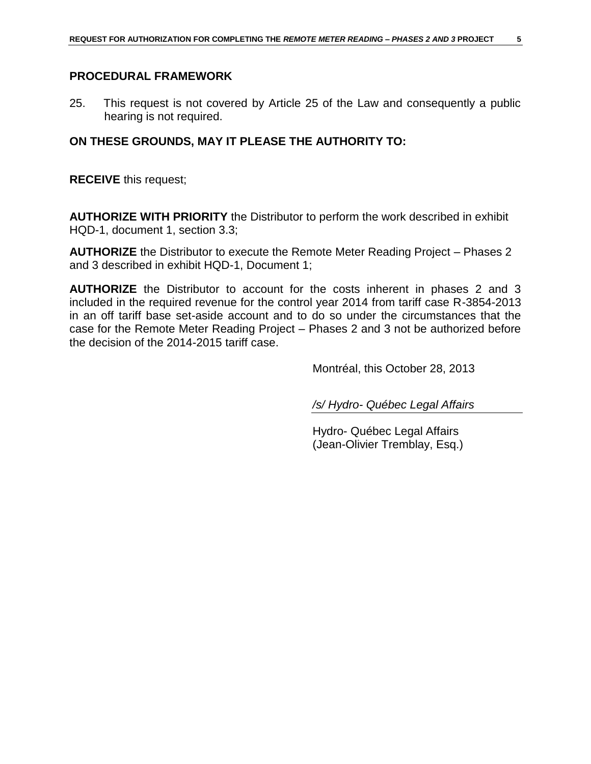# **PROCEDURAL FRAMEWORK**

25. This request is not covered by Article 25 of the Law and consequently a public hearing is not required.

## **ON THESE GROUNDS, MAY IT PLEASE THE AUTHORITY TO:**

**RECEIVE** this request;

**AUTHORIZE WITH PRIORITY** the Distributor to perform the work described in exhibit HQD-1, document 1, section 3.3;

**AUTHORIZE** the Distributor to execute the Remote Meter Reading Project – Phases 2 and 3 described in exhibit HQD-1, Document 1;

**AUTHORIZE** the Distributor to account for the costs inherent in phases 2 and 3 included in the required revenue for the control year 2014 from tariff case R-3854-2013 in an off tariff base set-aside account and to do so under the circumstances that the case for the Remote Meter Reading Project – Phases 2 and 3 not be authorized before the decision of the 2014-2015 tariff case.

Montréal, this October 28, 2013

*/s/ Hydro- Québec Legal Affairs*

Hydro- Québec Legal Affairs (Jean-Olivier Tremblay, Esq.)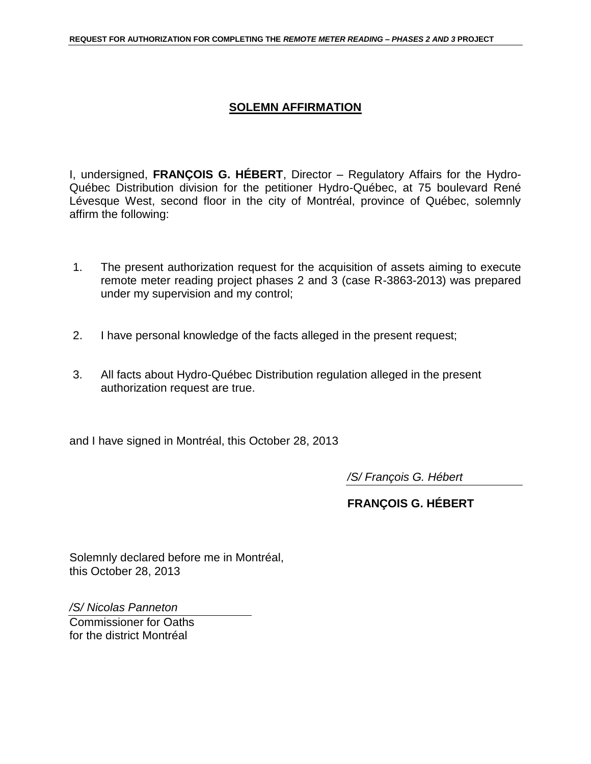# **SOLEMN AFFIRMATION**

I, undersigned, **FRANÇOIS G. HÉBERT**, Director – Regulatory Affairs for the Hydro-Québec Distribution division for the petitioner Hydro-Québec, at 75 boulevard René Lévesque West, second floor in the city of Montréal, province of Québec, solemnly affirm the following:

- 1. The present authorization request for the acquisition of assets aiming to execute remote meter reading project phases 2 and 3 (case R-3863-2013) was prepared under my supervision and my control;
- 2. I have personal knowledge of the facts alleged in the present request;
- 3. All facts about Hydro-Québec Distribution regulation alleged in the present authorization request are true.

and I have signed in Montréal, this October 28, 2013

*/S/ François G. Hébert*

**FRANÇOIS G. HÉBERT**

Solemnly declared before me in Montréal, this October 28, 2013

*/S/ Nicolas Panneton*

Commissioner for Oaths for the district Montréal